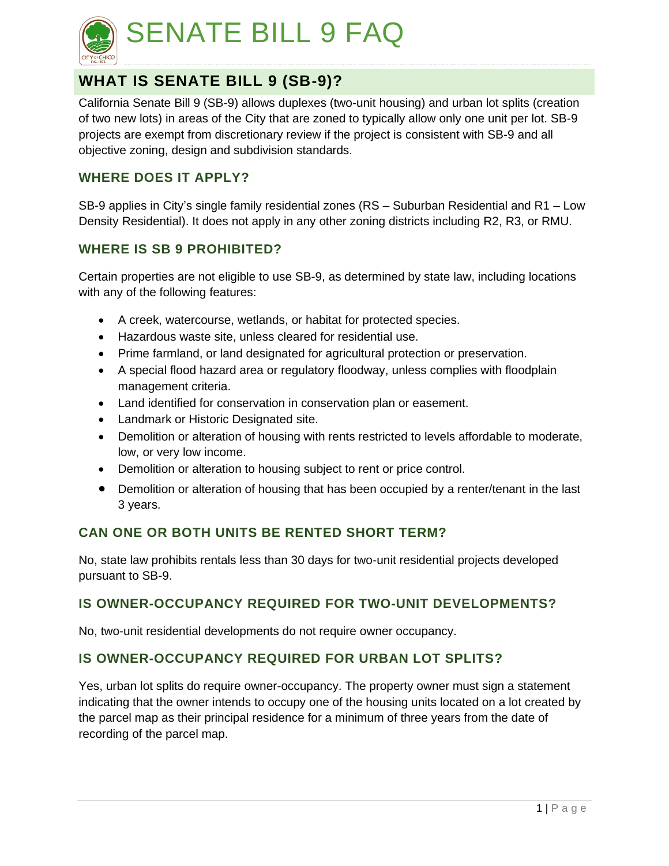

# SENATE BILL 9 FAQ

# **WHAT IS SENATE BILL 9 (SB-9)?**

California Senate Bill 9 (SB-9) allows duplexes (two-unit housing) and urban lot splits (creation of two new lots) in areas of the City that are zoned to typically allow only one unit per lot. SB-9 projects are exempt from discretionary review if the project is consistent with SB-9 and all objective zoning, design and subdivision standards.

## **WHERE DOES IT APPLY?**

SB-9 applies in City's single family residential zones (RS – Suburban Residential and R1 – Low Density Residential). It does not apply in any other zoning districts including R2, R3, or RMU.

### **WHERE IS SB 9 PROHIBITED?**

Certain properties are not eligible to use SB-9, as determined by state law, including locations with any of the following features:

- A creek, watercourse, wetlands, or habitat for protected species.
- Hazardous waste site, unless cleared for residential use.
- Prime farmland, or land designated for agricultural protection or preservation.
- A special flood hazard area or regulatory floodway, unless complies with floodplain management criteria.
- Land identified for conservation in conservation plan or easement.
- Landmark or Historic Designated site.
- Demolition or alteration of housing with rents restricted to levels affordable to moderate, low, or very low income.
- Demolition or alteration to housing subject to rent or price control.
- Demolition or alteration of housing that has been occupied by a renter/tenant in the last 3 years.

# **CAN ONE OR BOTH UNITS BE RENTED SHORT TERM?**

No, state law prohibits rentals less than 30 days for two-unit residential projects developed pursuant to SB-9.

# **IS OWNER-OCCUPANCY REQUIRED FOR TWO-UNIT DEVELOPMENTS?**

No, two-unit residential developments do not require owner occupancy.

# **IS OWNER-OCCUPANCY REQUIRED FOR URBAN LOT SPLITS?**

Yes, urban lot splits do require owner-occupancy. The property owner must sign a statement indicating that the owner intends to occupy one of the housing units located on a lot created by the parcel map as their principal residence for a minimum of three years from the date of recording of the parcel map.